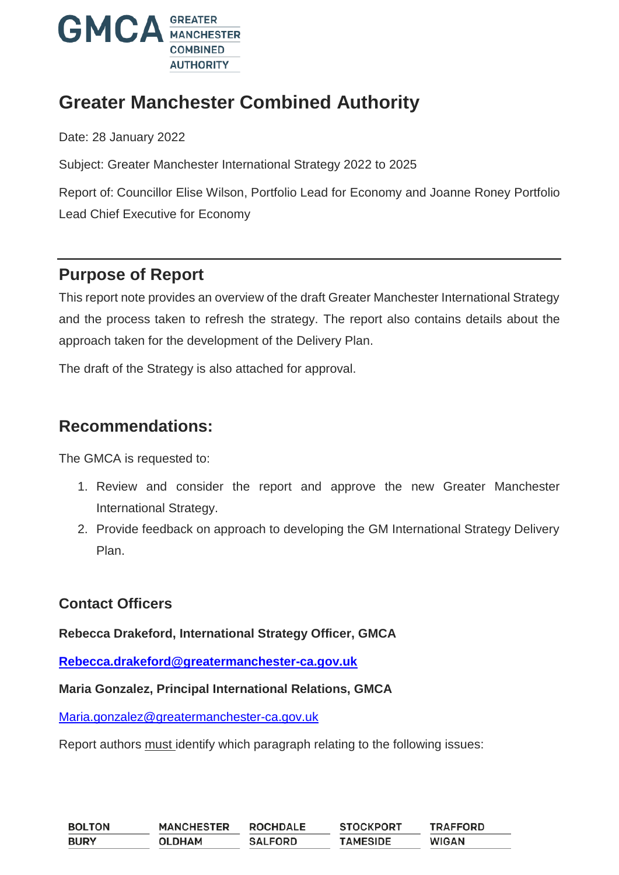

# **Greater Manchester Combined Authority**

Date: 28 January 2022

Subject: Greater Manchester International Strategy 2022 to 2025

Report of: Councillor Elise Wilson, Portfolio Lead for Economy and Joanne Roney Portfolio Lead Chief Executive for Economy

### **Purpose of Report**

This report note provides an overview of the draft Greater Manchester International Strategy and the process taken to refresh the strategy. The report also contains details about the approach taken for the development of the Delivery Plan.

The draft of the Strategy is also attached for approval.

### **Recommendations:**

The GMCA is requested to:

- 1. Review and consider the report and approve the new Greater Manchester International Strategy.
- 2. Provide feedback on approach to developing the GM International Strategy Delivery Plan.

#### **Contact Officers**

#### **Rebecca Drakeford, International Strategy Officer, GMCA**

**[Rebecca.drakeford@greatermanchester-ca.gov.uk](mailto:Rebecca.drakeford@greatermanchester-ca.gov.uk)**

#### **Maria Gonzalez, Principal International Relations, GMCA**

[Maria.gonzalez@greatermanchester-ca.gov.uk](mailto:Maria.gonzalez@greatermanchester-ca.gov.uk)

Report authors must identify which paragraph relating to the following issues:

| <b>BOLTON</b> | <b>MANCHESTER</b> | <b>ROCHDALE</b> | <b>STOCKPORT</b> | <b>TRAFFORD</b> |
|---------------|-------------------|-----------------|------------------|-----------------|
| <b>BURY</b>   | <b>OLDHAM</b>     | <b>SALFORD</b>  | <b>TAMESIDE</b>  | <b>WIGAN</b>    |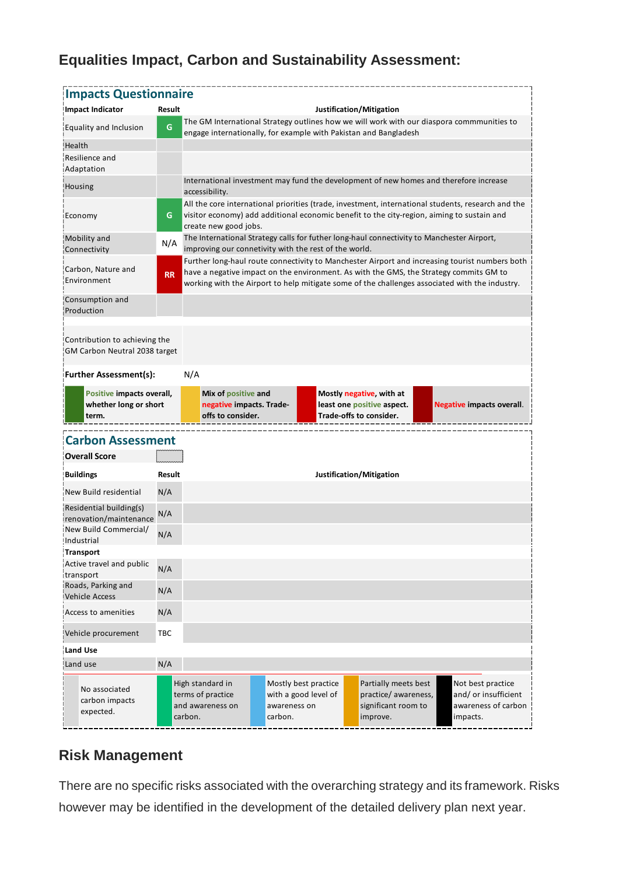## **Equalities Impact, Carbon and Sustainability Assessment:**

| Impact Indicator                                               |           | <b>Impacts Questionnaire</b>                                                                                                                                                                                                                                                               |  |  |                                                                                   |  |                                  |
|----------------------------------------------------------------|-----------|--------------------------------------------------------------------------------------------------------------------------------------------------------------------------------------------------------------------------------------------------------------------------------------------|--|--|-----------------------------------------------------------------------------------|--|----------------------------------|
|                                                                | Result    |                                                                                                                                                                                                                                                                                            |  |  | Justification/Mitigation                                                          |  |                                  |
| Equality and Inclusion                                         | G         | The GM International Strategy outlines how we will work with our diaspora commmunities to<br>engage internationally, for example with Pakistan and Bangladesh                                                                                                                              |  |  |                                                                                   |  |                                  |
| !Health                                                        |           |                                                                                                                                                                                                                                                                                            |  |  |                                                                                   |  |                                  |
| Resilience and<br>Adaptation                                   |           |                                                                                                                                                                                                                                                                                            |  |  |                                                                                   |  |                                  |
| Housing                                                        |           | International investment may fund the development of new homes and therefore increase<br>accessibility.                                                                                                                                                                                    |  |  |                                                                                   |  |                                  |
| Economy                                                        | G         | All the core international priorities (trade, investment, international students, research and the<br>visitor economy) add additional economic benefit to the city-region, aiming to sustain and<br>create new good jobs.                                                                  |  |  |                                                                                   |  |                                  |
| <b>Mobility and</b><br>Connectivity                            | N/A       | The International Strategy calls for futher long-haul connectivity to Manchester Airport,<br>improving our connetivity with the rest of the world.                                                                                                                                         |  |  |                                                                                   |  |                                  |
| Carbon, Nature and<br>Environment                              | <b>RR</b> | Further long-haul route connectivity to Manchester Airport and increasing tourist numbers both<br>have a negative impact on the environment. As with the GMS, the Strategy commits GM to<br>working with the Airport to help mitigate some of the challenges associated with the industry. |  |  |                                                                                   |  |                                  |
| Consumption and<br>Production                                  |           |                                                                                                                                                                                                                                                                                            |  |  |                                                                                   |  |                                  |
| Contribution to achieving the<br>GM Carbon Neutral 2038 target |           |                                                                                                                                                                                                                                                                                            |  |  |                                                                                   |  |                                  |
| <b>Further Assessment(s):</b>                                  |           | N/A                                                                                                                                                                                                                                                                                        |  |  |                                                                                   |  |                                  |
|                                                                |           |                                                                                                                                                                                                                                                                                            |  |  |                                                                                   |  |                                  |
| Positive impacts overall,<br>whether long or short<br>term.    |           | Mix of positive and<br>negative impacts. Trade-<br>offs to consider.                                                                                                                                                                                                                       |  |  | Mostly negative, with at<br>least one positive aspect.<br>Trade-offs to consider. |  | <b>Negative impacts overall.</b> |
|                                                                |           |                                                                                                                                                                                                                                                                                            |  |  |                                                                                   |  |                                  |
| <b>Carbon Assessment</b><br><b>Overall Score</b>               |           |                                                                                                                                                                                                                                                                                            |  |  |                                                                                   |  |                                  |
| <b>Buildings</b>                                               | Result    |                                                                                                                                                                                                                                                                                            |  |  | Justification/Mitigation                                                          |  |                                  |
| New Build residential                                          | N/A       |                                                                                                                                                                                                                                                                                            |  |  |                                                                                   |  |                                  |
| Residential building(s)<br>irenovation/maintenance             | N/A       |                                                                                                                                                                                                                                                                                            |  |  |                                                                                   |  |                                  |
| New Build Commercial/<br>Industrial                            | N/A       |                                                                                                                                                                                                                                                                                            |  |  |                                                                                   |  |                                  |
| <b>Transport</b>                                               |           |                                                                                                                                                                                                                                                                                            |  |  |                                                                                   |  |                                  |
| Active travel and public                                       | N/A       |                                                                                                                                                                                                                                                                                            |  |  |                                                                                   |  |                                  |
| transport<br>Roads, Parking and<br><b>Vehicle Access</b>       | N/A       |                                                                                                                                                                                                                                                                                            |  |  |                                                                                   |  |                                  |
|                                                                | N/A       |                                                                                                                                                                                                                                                                                            |  |  |                                                                                   |  |                                  |
| Access to amenities<br>Vehicle procurement                     | ТВС       |                                                                                                                                                                                                                                                                                            |  |  |                                                                                   |  |                                  |
|                                                                |           |                                                                                                                                                                                                                                                                                            |  |  |                                                                                   |  |                                  |
| Land Use<br>Land use                                           | N/A       |                                                                                                                                                                                                                                                                                            |  |  |                                                                                   |  |                                  |

### **Risk Management**

There are no specific risks associated with the overarching strategy and its framework. Risks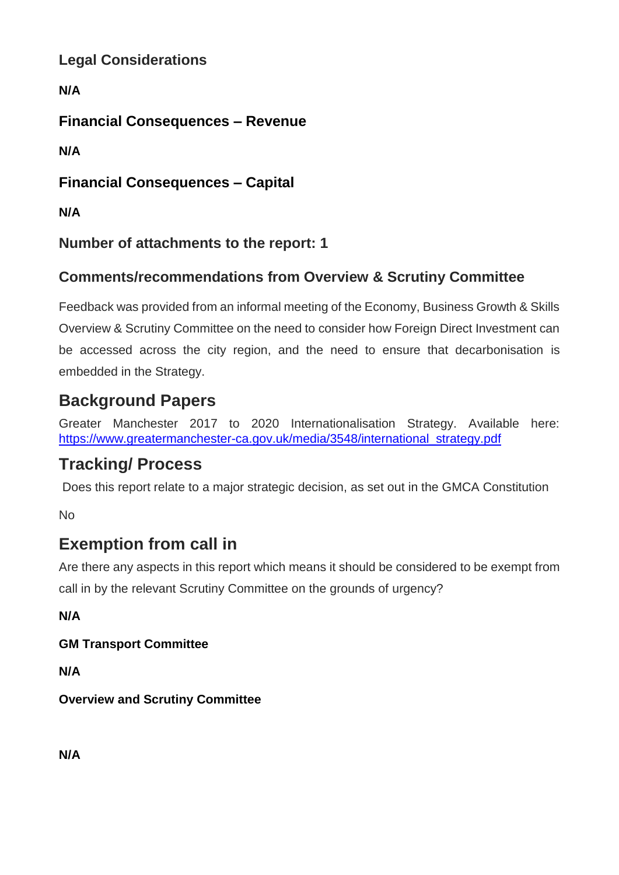**Legal Considerations**

**N/A**

**Financial Consequences – Revenue**

**N/A**

**Financial Consequences – Capital**

**N/A**

**Number of attachments to the report: 1**

## **Comments/recommendations from Overview & Scrutiny Committee**

Feedback was provided from an informal meeting of the Economy, Business Growth & Skills Overview & Scrutiny Committee on the need to consider how Foreign Direct Investment can be accessed across the city region, and the need to ensure that decarbonisation is embedded in the Strategy.

## **Background Papers**

Greater Manchester 2017 to 2020 Internationalisation Strategy. Available here: [https://www.greatermanchester-ca.gov.uk/media/3548/international\\_strategy.pdf](https://www.greatermanchester-ca.gov.uk/media/3548/international_strategy.pdf)

# **Tracking/ Process**

Does this report relate to a major strategic decision, as set out in the GMCA Constitution

No

# **Exemption from call in**

Are there any aspects in this report which means it should be considered to be exempt from call in by the relevant Scrutiny Committee on the grounds of urgency?

**N/A**

**GM Transport Committee**

**N/A**

**Overview and Scrutiny Committee**

**N/A**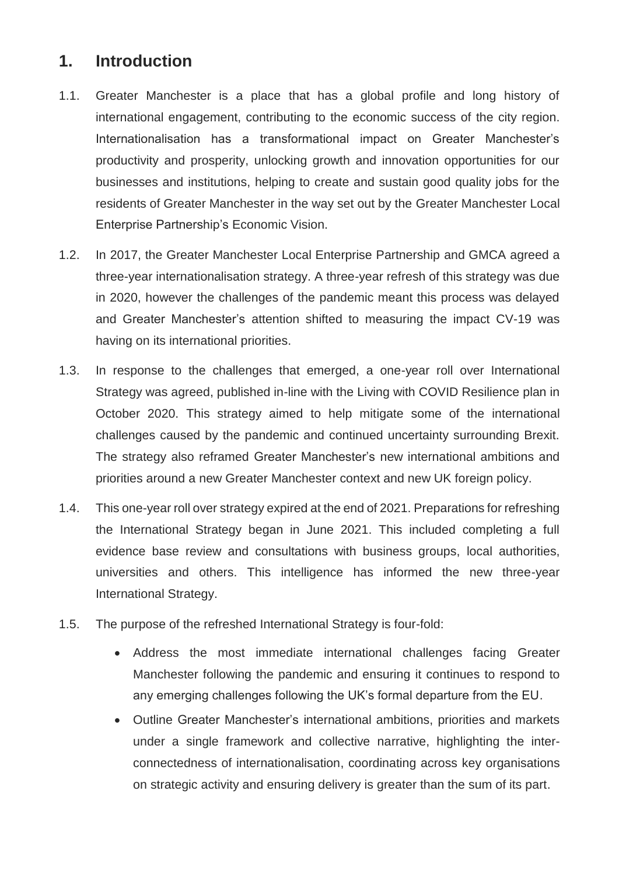### **1. Introduction**

- 1.1. Greater Manchester is a place that has a global profile and long history of international engagement, contributing to the economic success of the city region. Internationalisation has a transformational impact on Greater Manchester's productivity and prosperity, unlocking growth and innovation opportunities for our businesses and institutions, helping to create and sustain good quality jobs for the residents of Greater Manchester in the way set out by the Greater Manchester Local Enterprise Partnership's Economic Vision.
- 1.2. In 2017, the Greater Manchester Local Enterprise Partnership and GMCA agreed a three-year internationalisation strategy. A three-year refresh of this strategy was due in 2020, however the challenges of the pandemic meant this process was delayed and Greater Manchester's attention shifted to measuring the impact CV-19 was having on its international priorities.
- 1.3. In response to the challenges that emerged, a one-year roll over International Strategy was agreed, published in-line with the Living with COVID Resilience plan in October 2020. This strategy aimed to help mitigate some of the international challenges caused by the pandemic and continued uncertainty surrounding Brexit. The strategy also reframed Greater Manchester's new international ambitions and priorities around a new Greater Manchester context and new UK foreign policy.
- 1.4. This one-year roll over strategy expired at the end of 2021. Preparations for refreshing the International Strategy began in June 2021. This included completing a full evidence base review and consultations with business groups, local authorities, universities and others. This intelligence has informed the new three-year International Strategy.
- 1.5. The purpose of the refreshed International Strategy is four-fold:
	- Address the most immediate international challenges facing Greater Manchester following the pandemic and ensuring it continues to respond to any emerging challenges following the UK's formal departure from the EU.
	- Outline Greater Manchester's international ambitions, priorities and markets under a single framework and collective narrative, highlighting the interconnectedness of internationalisation, coordinating across key organisations on strategic activity and ensuring delivery is greater than the sum of its part.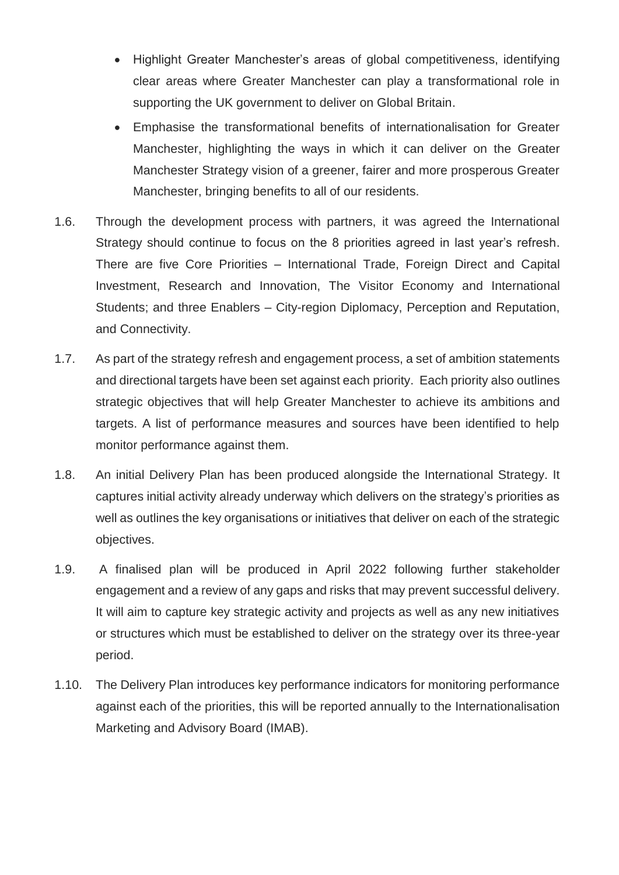- Highlight Greater Manchester's areas of global competitiveness, identifying clear areas where Greater Manchester can play a transformational role in supporting the UK government to deliver on Global Britain.
- Emphasise the transformational benefits of internationalisation for Greater Manchester, highlighting the ways in which it can deliver on the Greater Manchester Strategy vision of a greener, fairer and more prosperous Greater Manchester, bringing benefits to all of our residents.
- 1.6. Through the development process with partners, it was agreed the International Strategy should continue to focus on the 8 priorities agreed in last year's refresh. There are five Core Priorities – International Trade, Foreign Direct and Capital Investment, Research and Innovation, The Visitor Economy and International Students; and three Enablers – City-region Diplomacy, Perception and Reputation, and Connectivity.
- 1.7. As part of the strategy refresh and engagement process, a set of ambition statements and directional targets have been set against each priority. Each priority also outlines strategic objectives that will help Greater Manchester to achieve its ambitions and targets. A list of performance measures and sources have been identified to help monitor performance against them.
- 1.8. An initial Delivery Plan has been produced alongside the International Strategy. It captures initial activity already underway which delivers on the strategy's priorities as well as outlines the key organisations or initiatives that deliver on each of the strategic objectives.
- 1.9. A finalised plan will be produced in April 2022 following further stakeholder engagement and a review of any gaps and risks that may prevent successful delivery. It will aim to capture key strategic activity and projects as well as any new initiatives or structures which must be established to deliver on the strategy over its three-year period.
- 1.10. The Delivery Plan introduces key performance indicators for monitoring performance against each of the priorities, this will be reported annually to the Internationalisation Marketing and Advisory Board (IMAB).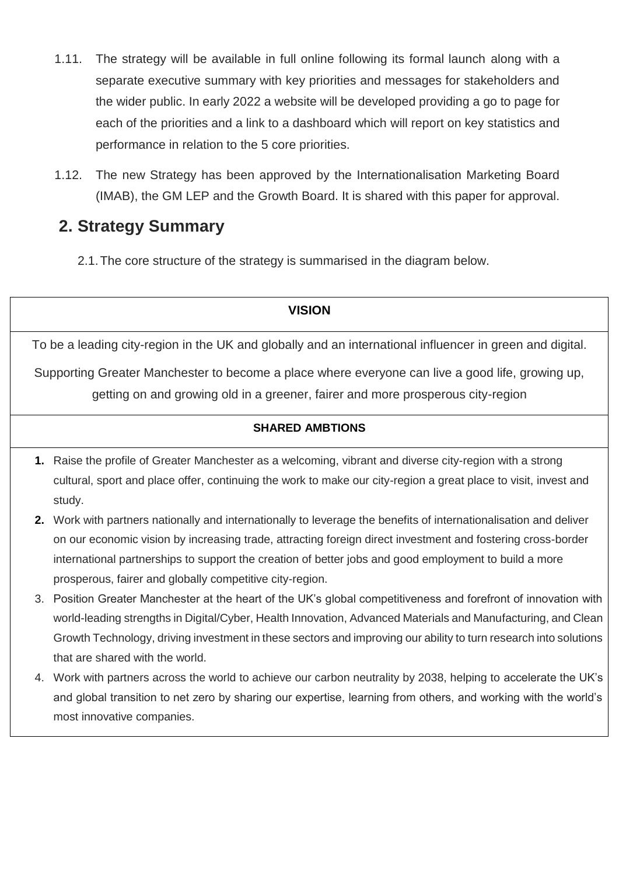- 1.11. The strategy will be available in full online following its formal launch along with a separate executive summary with key priorities and messages for stakeholders and the wider public. In early 2022 a website will be developed providing a go to page for each of the priorities and a link to a dashboard which will report on key statistics and performance in relation to the 5 core priorities.
- 1.12. The new Strategy has been approved by the Internationalisation Marketing Board (IMAB), the GM LEP and the Growth Board. It is shared with this paper for approval.

## **2. Strategy Summary**

2.1.The core structure of the strategy is summarised in the diagram below.

# **VISION**

To be a leading city-region in the UK and globally and an international influencer in green and digital.

Supporting Greater Manchester to become a place where everyone can live a good life, growing up, getting on and growing old in a greener, fairer and more prosperous city-region

#### **SHARED AMBTIONS**

- **1.** Raise the profile of Greater Manchester as a welcoming, vibrant and diverse city-region with a strong cultural, sport and place offer, continuing the work to make our city-region a great place to visit, invest and study.
- **2.** Work with partners nationally and internationally to leverage the benefits of internationalisation and deliver on our economic vision by increasing trade, attracting foreign direct investment and fostering cross-border international partnerships to support the creation of better jobs and good employment to build a more prosperous, fairer and globally competitive city-region.
- 3. Position Greater Manchester at the heart of the UK's global competitiveness and forefront of innovation with world-leading strengths in Digital/Cyber, Health Innovation, Advanced Materials and Manufacturing, and Clean Growth Technology, driving investment in these sectors and improving our ability to turn research into solutions that are shared with the world.
- 4. Work with partners across the world to achieve our carbon neutrality by 2038, helping to accelerate the UK's and global transition to net zero by sharing our expertise, learning from others, and working with the world's most innovative companies.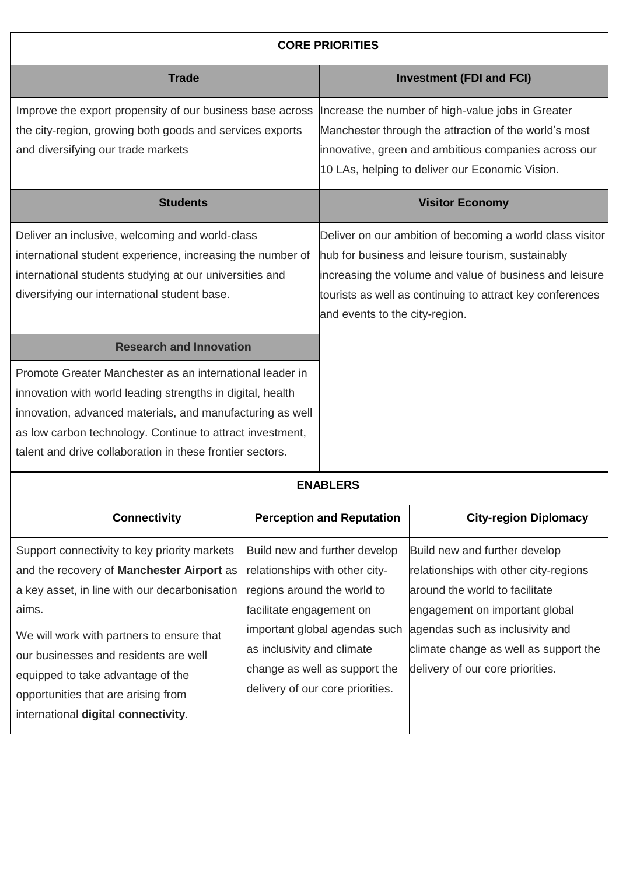| <b>CORE PRIORITIES</b>                                                                                                                                                                                                                                                                                        |                |                                |                                                                                                                                                                                                                                        |  |  |
|---------------------------------------------------------------------------------------------------------------------------------------------------------------------------------------------------------------------------------------------------------------------------------------------------------------|----------------|--------------------------------|----------------------------------------------------------------------------------------------------------------------------------------------------------------------------------------------------------------------------------------|--|--|
| <b>Trade</b>                                                                                                                                                                                                                                                                                                  |                |                                | <b>Investment (FDI and FCI)</b>                                                                                                                                                                                                        |  |  |
| Improve the export propensity of our business base across<br>the city-region, growing both goods and services exports<br>and diversifying our trade markets                                                                                                                                                   |                |                                | Increase the number of high-value jobs in Greater<br>Manchester through the attraction of the world's most<br>innovative, green and ambitious companies across our<br>10 LAs, helping to deliver our Economic Vision.                  |  |  |
| <b>Students</b>                                                                                                                                                                                                                                                                                               |                |                                | <b>Visitor Economy</b>                                                                                                                                                                                                                 |  |  |
| Deliver an inclusive, welcoming and world-class<br>international student experience, increasing the number of<br>international students studying at our universities and<br>diversifying our international student base.                                                                                      |                | and events to the city-region. | Deliver on our ambition of becoming a world class visitor<br>hub for business and leisure tourism, sustainably<br>increasing the volume and value of business and leisure<br>tourists as well as continuing to attract key conferences |  |  |
| <b>Research and Innovation</b>                                                                                                                                                                                                                                                                                |                |                                |                                                                                                                                                                                                                                        |  |  |
| Promote Greater Manchester as an international leader in<br>innovation with world leading strengths in digital, health<br>innovation, advanced materials, and manufacturing as well<br>as low carbon technology. Continue to attract investment,<br>talent and drive collaboration in these frontier sectors. |                |                                |                                                                                                                                                                                                                                        |  |  |
|                                                                                                                                                                                                                                                                                                               |                | <b>ENABLERS</b>                |                                                                                                                                                                                                                                        |  |  |
| Osan sa bhliain                                                                                                                                                                                                                                                                                               | <b>Deserve</b> | والمستورية والمترامين          | Oltre as also a Diale                                                                                                                                                                                                                  |  |  |

| <b>Connectivity</b>                           | <b>Perception and Reputation</b> | <b>City-region Diplomacy</b>          |
|-----------------------------------------------|----------------------------------|---------------------------------------|
| Support connectivity to key priority markets  | Build new and further develop    | Build new and further develop         |
| and the recovery of Manchester Airport as     | relationships with other city-   | relationships with other city-regions |
| a key asset, in line with our decarbonisation | regions around the world to      | around the world to facilitate        |
| aims.                                         | facilitate engagement on         | engagement on important global        |
| We will work with partners to ensure that     | important global agendas such    | agendas such as inclusivity and       |
| our businesses and residents are well         | as inclusivity and climate       | climate change as well as support the |
| equipped to take advantage of the             | change as well as support the    | delivery of our core priorities.      |
| opportunities that are arising from           | delivery of our core priorities. |                                       |
| international digital connectivity.           |                                  |                                       |